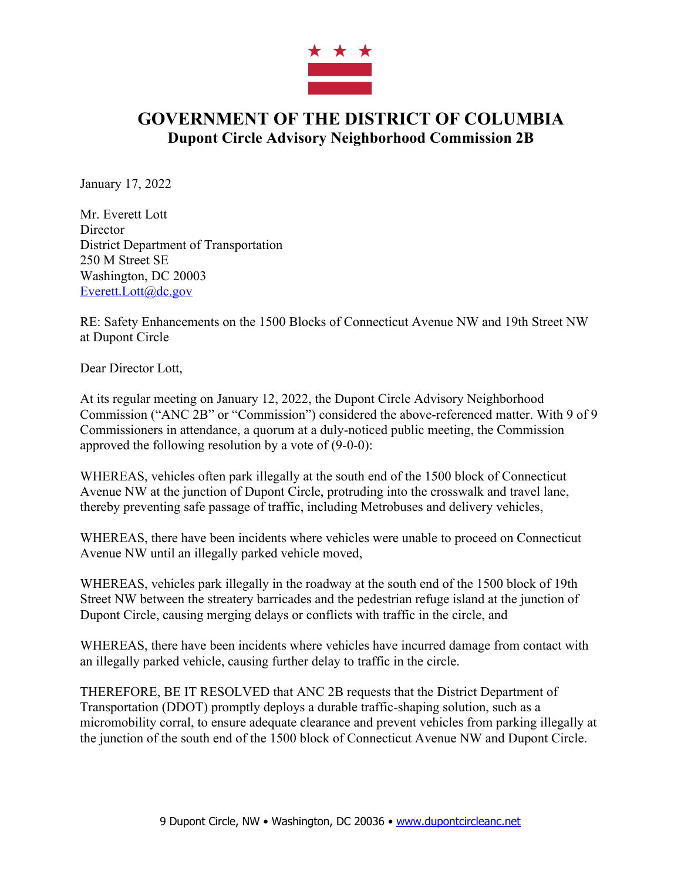

## **GOVERNMENT OF THE DISTRICT OF COLUMBIA Dupont Circle Advisory Neighborhood Commission 2B**

January 17, 2022

Mr. Everett Lott **Director** District Department of Transportation 250 M Street SE Washington, DC 20003 Everett.Lott@dc.gov

RE: Safety Enhancements on the 1500 Blocks of Connecticut Avenue NW and 19th Street NW at Dupont Circle

Dear Director Lott,

At its regular meeting on January 12, 2022, the Dupont Circle Advisory Neighborhood Commission ("ANC 2B" or "Commission") considered the above-referenced matter. With 9 of 9 Commissioners in attendance, a quorum at a duly-noticed public meeting, the Commission approved the following resolution by a vote of (9-0-0):

WHEREAS, vehicles often park illegally at the south end of the 1500 block of Connecticut Avenue NW at the junction of Dupont Circle, protruding into the crosswalk and travel lane, thereby preventing safe passage of traffic, including Metrobuses and delivery vehicles,

WHEREAS, there have been incidents where vehicles were unable to proceed on Connecticut Avenue NW until an illegally parked vehicle moved,

WHEREAS, vehicles park illegally in the roadway at the south end of the 1500 block of 19th Street NW between the streatery barricades and the pedestrian refuge island at the junction of Dupont Circle, causing merging delays or conflicts with traffic in the circle, and

WHEREAS, there have been incidents where vehicles have incurred damage from contact with an illegally parked vehicle, causing further delay to traffic in the circle.

THEREFORE, BE IT RESOLVED that ANC 2B requests that the District Department of Transportation (DDOT) promptly deploys a durable traffic-shaping solution, such as a micromobility corral, to ensure adequate clearance and prevent vehicles from parking illegally at the junction of the south end of the 1500 block of Connecticut Avenue NW and Dupont Circle.